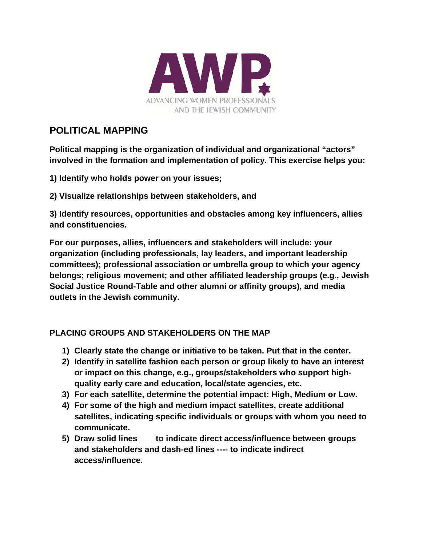

## **POLITICAL MAPPING**

**Political mapping is the organization of individual and organizational "actors" involved in the formation and implementation of policy. This exercise helps you:** 

**1) Identify who holds power on your issues;** 

**2) Visualize relationships between stakeholders, and** 

**3) Identify resources, opportunities and obstacles among key influencers, allies and constituencies.** 

**For our purposes, allies, influencers and stakeholders will include: your organization (including professionals, lay leaders, and important leadership committees); professional association or umbrella group to which your agency belongs; religious movement; and other affiliated leadership groups (e.g., Jewish Social Justice Round-Table and other alumni or affinity groups), and media outlets in the Jewish community.** 

## **PLACING GROUPS AND STAKEHOLDERS ON THE MAP**

- **1) Clearly state the change or initiative to be taken. Put that in the center.**
- **2) Identify in satellite fashion each person or group likely to have an interest or impact on this change, e.g., groups/stakeholders who support highquality early care and education, local/state agencies, etc.**
- **3) For each satellite, determine the potential impact: High, Medium or Low.**
- **4) For some of the high and medium impact satellites, create additional satellites, indicating specific individuals or groups with whom you need to communicate.**
- **5) Draw solid lines \_\_\_ to indicate direct access/influence between groups and stakeholders and dash-ed lines ---- to indicate indirect access/influence.**